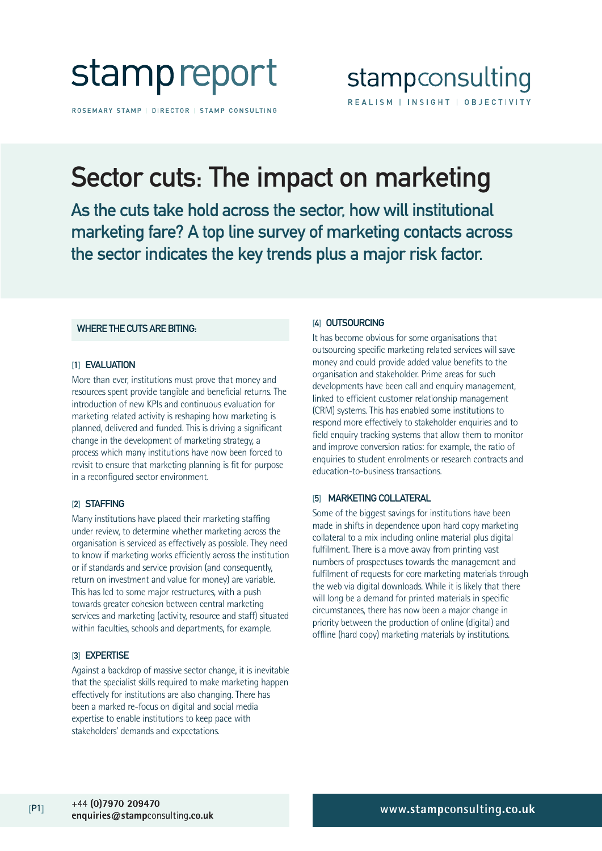

ROSEMARY STAMP | DIRECTOR | STAMP CONSULTING

# Sector cuts: The impact on marketing

As the cuts take hold across the sector, how will institutional marketing fare? A top line survey of marketing contacts across the sector indicates the key trends plus a major risk factor.

## WHERE THE CUTS ARE BITING:

### [1] EVALUATION

More than ever, institutions must prove that money and resources spent provide tangible and beneficial returns. The introduction of new KPIs and continuous evaluation for marketing related activity is reshaping how marketing is planned, delivered and funded. This is driving a significant change in the development of marketing strategy, a process which many institutions have now been forced to revisit to ensure that marketing planning is fit for purpose in a reconfigured sector environment.

#### [2] STAFFING

Many institutions have placed their marketing staffing under review, to determine whether marketing across the organisation is serviced as effectively as possible. They need to know if marketing works efficiently across the institution or if standards and service provision (and consequently, return on investment and value for money) are variable. This has led to some major restructures, with a push towards greater cohesion between central marketing services and marketing (activity, resource and staff) situated within faculties, schools and departments, for example.

#### [3] EXPERTISE

Against a backdrop of massive sector change, it is inevitable that the specialist skills required to make marketing happen effectively for institutions are also changing. There has been a marked re-focus on digital and social media expertise to enable institutions to keep pace with stakeholders' demands and expectations.

#### [4] OUTSOURCING

It has become obvious for some organisations that outsourcing specific marketing related services will save money and could provide added value benefits to the organisation and stakeholder. Prime areas for such developments have been call and enquiry management, linked to efficient customer relationship management (CRM) systems. This has enabled some institutions to respond more effectively to stakeholder enquiries and to field enquiry tracking systems that allow them to monitor and improve conversion ratios: for example, the ratio of enquiries to student enrolments or research contracts and education-to-business transactions.

## [5] MARKETING COLLATERAL

Some of the biggest savings for institutions have been made in shifts in dependence upon hard copy marketing collateral to a mix including online material plus digital fulfilment. There is a move away from printing vast numbers of prospectuses towards the management and fulfilment of requests for core marketing materials through the web via digital downloads. While it is likely that there will long be a demand for printed materials in specific circumstances, there has now been a major change in priority between the production of online (digital) and offline (hard copy) marketing materials by institutions.